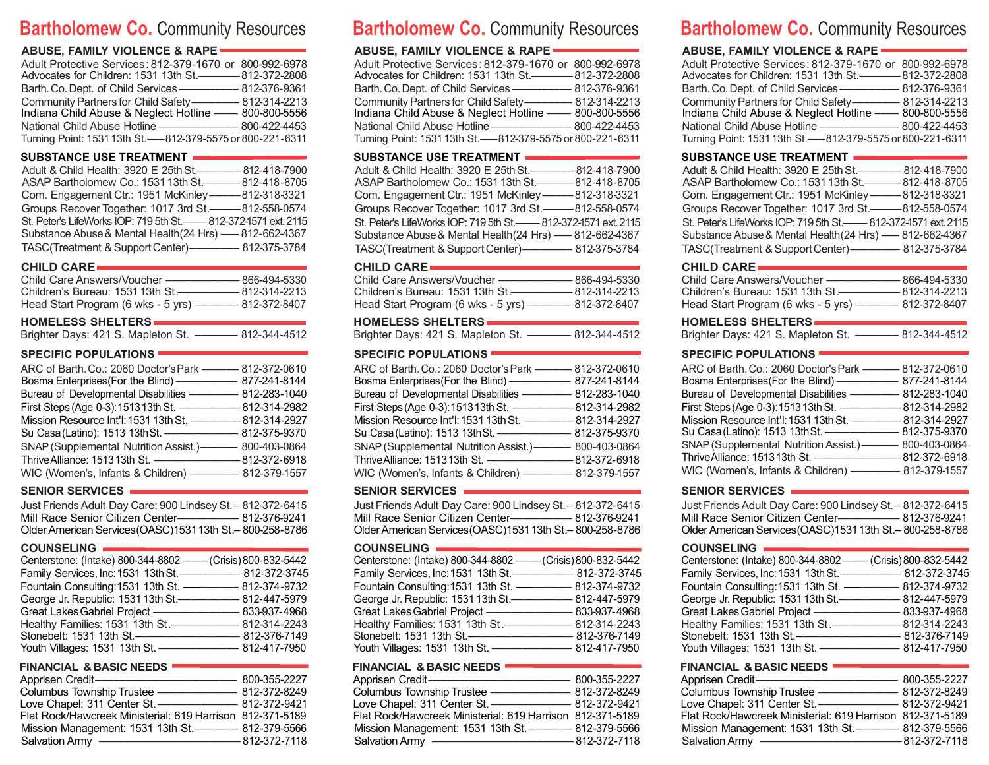# **Bartholomew Co.** Community Resources

## **ABUSE, FAMILY VIOLENCE & RAPE**

| Adult Protective Services: 812-379-1670 or 800-992-6978<br>Advocates for Children: 1531 13th St.————— 812-372-2808           |  |
|------------------------------------------------------------------------------------------------------------------------------|--|
|                                                                                                                              |  |
| Community Partners for Child Safety------------------- 812-314-2213<br>Indiana Child Abuse & Neglect Hotline —— 800-800-5556 |  |
| National Child Abuse Hotline ———————————————— 800-422-4453                                                                   |  |
| Turning Point: 1531 13th St. -- 812-379-5575 or 800-221-6311                                                                 |  |

## **SUBSTANCE USE TREATMENT**

| Adult & Child Health: 3920 E 25th St.————— 812-418-7900          |
|------------------------------------------------------------------|
| ASAP Bartholomew Co.: 1531 13th St.———— 812-418-8705             |
| Com. Engagement Ctr.: 1951 McKinley ———— 812-318-3321            |
| Groups Recover Together: 1017 3rd St.———812-558-0574             |
| St. Peter's LifeWorks IOP: 719 5th St.----812-372-1571 ext. 2115 |
| Substance Abuse & Mental Health (24 Hrs) - 812-662-4367          |
| TASC(Treatment & Support Center)------------- 812-375-3784       |

#### **CHILD CARE**

| Child Care Answers/Voucher ———————————————————— 866-494-5330 |  |
|--------------------------------------------------------------|--|
| Children's Bureau: 1531 13th St.———————— 812-314-2213        |  |
| Head Start Program (6 wks - 5 yrs) ——————— 812-372-8407      |  |
|                                                              |  |

#### **HOMELESS SHELTERS**

| Brighter Days: 421 S. Mapleton St. | 812-344-4512 |
|------------------------------------|--------------|
|------------------------------------|--------------|

## **SPECIFIC POPULATIONS**

| ARC of Barth. Co.: 2060 Doctor's Park ------- 812-372-0610                |  |
|---------------------------------------------------------------------------|--|
|                                                                           |  |
| Bureau of Developmental Disabilities - 812-283-1040                       |  |
|                                                                           |  |
| Mission Resource Int'l: 1531 13th St. ---------------------- 812-314-2927 |  |
| Su Casa (Latino): 1513 13th St. ------------------------ 812-375-9370     |  |
| SNAP (Supplemental Nutrition Assist.) - 800-403-0864                      |  |
|                                                                           |  |
|                                                                           |  |

## **SENIOR SERVICES**

Just FriendsAdult Day Care: 900 Lindsey St.– 812-372-6415 Mill Race Senior Citizen Center––––––––––– 812-376-9241 OlderAmericanServices(OASC)153113th St.– 800-258-8786

**COUNSELING**

| <b>UUUITULLIITU</b>                                                        |
|----------------------------------------------------------------------------|
| Centerstone: (Intake) 800-344-8802 - (Crisis) 800-832-5442                 |
| Family Services, Inc: 1531 13th St.—————————— 812-372-3745                 |
| Fountain Consulting: 1531 13th St. -------------------- 812-374-9732       |
| George Jr. Republic: 1531 13th St.- <b>------------------</b> 812-447-5979 |
| Great Lakes Gabriel Project ----------------<br>833-937-4968               |
| Healthy Families: 1531 13th St.- <b>--------------</b><br>812-314-2243     |
| Stonebelt: 1531 13th St.-                                                  |
| – 812-417-7950                                                             |

## **FINANCIAL & BASIC NEEDS**

| Apprisen Credit-                                             | 800-355-2227   |
|--------------------------------------------------------------|----------------|
| <b>Columbus Township Trustee</b>                             | - 812-372-8249 |
| Love Chapel: 311 Center St. ——————————————————— 812-372-9421 |                |
| Flat Rock/Hawcreek Ministerial: 619 Harrison 812-371-5189    |                |
| Mission Management: 1531 13th St. ----------- 812-379-5566   |                |
| <b>Salvation Army</b>                                        | –812-372-7118  |

# **Bartholomew Co.** Community Resources

## **ABUSE, FAMILY VIOLENCE & RAPE**

| Adult Protective Services: 812-379-1670 or 800-992-6978        |  |
|----------------------------------------------------------------|--|
|                                                                |  |
| Barth. Co. Dept. of Child Services —————————— 812-376-9361     |  |
| Community Partners for Child Safety-------------- 812-314-2213 |  |
| Indiana Child Abuse & Neglect Hotline - 800-800-5556           |  |
| National Child Abuse Hotline —————————— 800-422-4453           |  |
| Turning Point: 1531 13th St. -- 812-379-5575 or 800-221-6311   |  |

## **SUBSTANCE USE TREATMENT**

| Adult & Child Health: 3920 E 25th St.—————— 812-418-7900        |  |
|-----------------------------------------------------------------|--|
| ASAP Bartholomew Co.: 1531 13th St.-------------812-418-8705    |  |
| Com. Engagement Ctr.: 1951 McKinley ———— 812-318-3321           |  |
| Groups Recover Together: 1017 3rd St.-----812-558-0574          |  |
| St. Peter's LifeWorks IOP: 719 5th St.—— 812-372-1571 ext. 2115 |  |
| Substance Abuse & Mental Health(24 Hrs) - 812-662-4367          |  |
| TASC(Treatment & Support Center)--------------- 812-375-3784    |  |

## **CHILD CARE**

| Child Care Answers/Voucher           | - 866-494-5330 |
|--------------------------------------|----------------|
| Children's Bureau: 1531 13th St.-    | - 812-314-2213 |
| Head Start Program (6 wks - 5 yrs) - | 812-372-8407   |

## **HOMELESS SHELTERS**

Brighter Days: 421 S. Mapleton St. ––––––– 812-344-4512

## **SPECIFIC POPULATIONS**

| ARC of Barth, Co.: 2060 Doctor's Park ———— 812-372-0610 |              |
|---------------------------------------------------------|--------------|
| Bosma Enterprises (For the Blind) ---------------       | 877-241-8144 |
| Bureau of Developmental Disabilities - 812-283-1040     |              |
|                                                         |              |
| Mission Resource Int'l: 1531 13th St. - 812-314-2927    |              |
|                                                         |              |
| SNAP (Supplemental Nutrition Assist.) ———— 800-403-0864 |              |
|                                                         |              |
| WIC (Women's, Infants & Children) - 812-379-1557        |              |

## **SENIOR SERVICES**

**COUNSELING** Just FriendsAdult Day Care: 900 Lindsey St.– 812-372-6415 Mill Race Senior Citizen Center––––––––––– 812-376-9241 OlderAmericanServices(OASC)153113th St.– 800-258-8786

| Centerstone: (Intake) 800-344-8802 - (Crisis) 800-832-5442           |                     |
|----------------------------------------------------------------------|---------------------|
| Family Services, Inc: 1531 13th St.-------------------- 812-372-3745 |                     |
| Fountain Consulting: 1531 13th St. - - 812-374-9732                  |                     |
| George Jr. Republic: 1531 13th St.-<br>$\overline{\phantom{a}}$      | $-812 - 447 - 5979$ |
| Great Lakes Gabriel Project -                                        | - 833-937-4968      |
| Healthy Families: 1531 13th St.-                                     | 812-314-2243        |
| Stonebelt: 1531 13th St.-                                            | - 812-376-7149      |
| Youth Villages: 1531 13th St. -                                      | 812-417-7950 -      |

## **FINANCIAL & BASIC NEEDS**

| Apprisen Credit—                                                                           | 800-355-2227   |
|--------------------------------------------------------------------------------------------|----------------|
| Columbus Township Trustee                                                                  | - 812-372-8249 |
| Love Chapel: 311 Center St.-                                                               |                |
| Flat Rock/Hawcreek Ministerial: 619 Harrison 812-371-5189                                  |                |
| Mission Management: 1531 13th St.—————— 812-379-5566                                       |                |
| <b>Salvation Army</b><br><u> The Common School and Common School and Common School and</u> | –812-372-7118  |

# **Bartholomew Co.** Community Resources

## **ABUSE, FAMILY VIOLENCE & RAPE**

| Adult Protective Services: 812-379-1670 or 800-992-6978              |  |
|----------------------------------------------------------------------|--|
| Advocates for Children: 1531 13th St.————— 812-372-2808              |  |
| Barth. Co. Dept. of Child Services ———————————————————— 812-376-9361 |  |
| Community Partners for Child Safety------------------ 812-314-2213   |  |
| Indiana Child Abuse & Neglect Hotline —— 800-800-5556                |  |
| National Child Abuse Hotline —————————— 800-422-4453                 |  |
| Turning Point: 1531 13th St.--812-379-5575 or 800-221-6311           |  |

## **SUBSTANCE USE TREATMENT**

| Adult & Child Health: 3920 E 25th St.—————— 812-418-7900<br>ASAP Bartholomew Co.: 1531 13th St.------------- 812-418-8705 |  |
|---------------------------------------------------------------------------------------------------------------------------|--|
| Com. Engagement Ctr.: 1951 McKinley-----812-318-3321                                                                      |  |
| Groups Recover Together: 1017 3rd St.———812-558-0574                                                                      |  |
| St. Peter's LifeWorks IOP: 719 5th St.——— 812-372-1571 ext. 2115                                                          |  |
| Substance Abuse & Mental Health (24 Hrs) - 812-662-4367                                                                   |  |
| TASC(Treatment & Support Center)——————————— 812-375-3784                                                                  |  |

#### **CHILD CARE**

| Child Care Answers/Voucher -         | - 866-494-5330 |
|--------------------------------------|----------------|
| Children's Bureau: 1531 13th St.     | – 812-314-2213 |
| Head Start Program (6 wks - 5 yrs) - | - 812-372-8407 |

#### **HOMELESS SHELTERS**

| Brighter Days: 421 S. Mapleton St. |  | 812-344-4512 |
|------------------------------------|--|--------------|
|------------------------------------|--|--------------|

## **SPECIFIC POPULATIONS**

| ARC of Barth. Co.: 2060 Doctor's Park -------- 812-372-0610          |              |
|----------------------------------------------------------------------|--------------|
| Bosma Enterprises (For the Blind) ———————                            | 877-241-8144 |
| Bureau of Developmental Disabilities - 812-283-1040                  |              |
| First Steps (Age 0-3): 1513 13th St. - - 812-314-2982                |              |
| Mission Resource Int'l: 1531 13th St. - 812-314-2927                 |              |
| Su Casa (Latino): 1513 13th St. ----------------------- 812-375-9370 |              |
| SNAP (Supplemental Nutrition Assist.) -- 800-403-0864                |              |
|                                                                      |              |
| WIC (Women's, Infants & Children) ———————— 812-379-1557              |              |
|                                                                      |              |

## **SENIOR SERVICES**

| Just Friends Adult Day Care: 900 Lindsey St. - 812-372-6415 |  |
|-------------------------------------------------------------|--|
| Mill Race Senior Citizen Center—————— 812-376-9241          |  |
| Older American Services (OASC) 1531 13th St. - 800-258-8786 |  |

#### **COUNSELING**

| Centerstone: (Intake) 800-344-8802 - (Crisis) 800-832-5442          |                |
|---------------------------------------------------------------------|----------------|
| Family Services, Inc: 1531 13th St.------------------- 812-372-3745 |                |
| Fountain Consulting: 1531 13th St. ------------------- 812-374-9732 |                |
| George Jr. Republic: 1531 13th St.-                                 |                |
| Great Lakes Gabriel Project -                                       | — 833-937-4968 |
|                                                                     |                |
| Stonebelt: 1531 13th St.-----                                       | – 812-376-7149 |
| Youth Villages: 1531 13th St. ———————————————————— 812-417-7950     |                |

#### **FINANCIAL & BASIC NEEDS**

| Apprisen Credit- <b>------------------------</b>                                                                                          | 800-355-2227   |
|-------------------------------------------------------------------------------------------------------------------------------------------|----------------|
| Columbus Township Trustee                                                                                                                 | - 812-372-8249 |
| Love Chapel: 311 Center St.-<br>$\frac{1}{2}$ 812-372-9421                                                                                |                |
| Flat Rock/Hawcreek Ministerial: 619 Harrison 812-371-5189                                                                                 |                |
| Mission Management: 1531 13th St. ----------- 812-379-5566                                                                                |                |
| Salvation Army<br><u> Andreas Andreas Andreas Andreas Andreas Andreas Andreas Andreas Andreas Andreas Andreas Andreas Andreas Andreas</u> | -812-372-7118  |